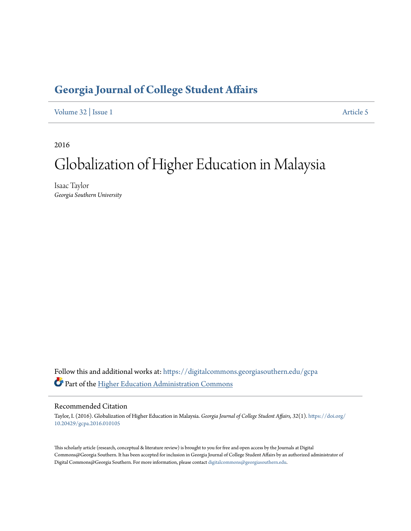# **[Georgia Journal of College Student Affairs](https://digitalcommons.georgiasouthern.edu/gcpa?utm_source=digitalcommons.georgiasouthern.edu%2Fgcpa%2Fvol32%2Fiss1%2F5&utm_medium=PDF&utm_campaign=PDFCoverPages)**

[Volume 32](https://digitalcommons.georgiasouthern.edu/gcpa/vol32?utm_source=digitalcommons.georgiasouthern.edu%2Fgcpa%2Fvol32%2Fiss1%2F5&utm_medium=PDF&utm_campaign=PDFCoverPages) | [Issue 1](https://digitalcommons.georgiasouthern.edu/gcpa/vol32/iss1?utm_source=digitalcommons.georgiasouthern.edu%2Fgcpa%2Fvol32%2Fiss1%2F5&utm_medium=PDF&utm_campaign=PDFCoverPages) [Article 5](https://digitalcommons.georgiasouthern.edu/gcpa/vol32/iss1/5?utm_source=digitalcommons.georgiasouthern.edu%2Fgcpa%2Fvol32%2Fiss1%2F5&utm_medium=PDF&utm_campaign=PDFCoverPages)

2016

# Globalization of Higher Education in Malaysia

Isaac Taylor *Georgia Southern University*

Follow this and additional works at: [https://digitalcommons.georgiasouthern.edu/gcpa](https://digitalcommons.georgiasouthern.edu/gcpa?utm_source=digitalcommons.georgiasouthern.edu%2Fgcpa%2Fvol32%2Fiss1%2F5&utm_medium=PDF&utm_campaign=PDFCoverPages) Part of the [Higher Education Administration Commons](http://network.bepress.com/hgg/discipline/791?utm_source=digitalcommons.georgiasouthern.edu%2Fgcpa%2Fvol32%2Fiss1%2F5&utm_medium=PDF&utm_campaign=PDFCoverPages)

#### Recommended Citation

Taylor, I. (2016). Globalization of Higher Education in Malaysia. *Georgia Journal of College Student Affairs, 32*(1). [https://doi.org/](https://doi.org/10.20429/gcpa.2016.010105) [10.20429/gcpa.2016.010105](https://doi.org/10.20429/gcpa.2016.010105)

This scholarly article (research, conceptual & literature review) is brought to you for free and open access by the Journals at Digital Commons@Georgia Southern. It has been accepted for inclusion in Georgia Journal of College Student Affairs by an authorized administrator of Digital Commons@Georgia Southern. For more information, please contact [digitalcommons@georgiasouthern.edu.](mailto:digitalcommons@georgiasouthern.edu)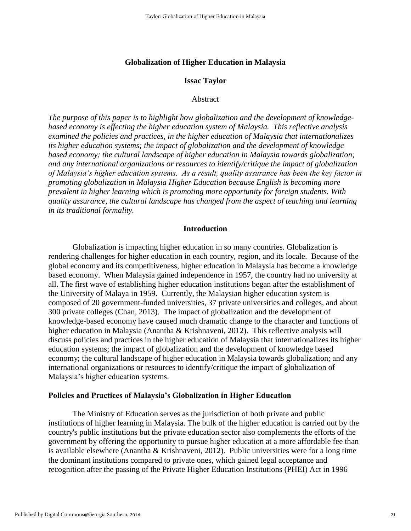## **Globalization of Higher Education in Malaysia**

## **Issac Taylor**

#### Abstract

*The purpose of this paper is to highlight how globalization and the development of knowledgebased economy is effecting the higher education system of Malaysia. This reflective analysis examined the policies and practices, in the higher education of Malaysia that internationalizes its higher education systems; the impact of globalization and the development of knowledge based economy; the cultural landscape of higher education in Malaysia towards globalization; and any international organizations or resources to identify/critique the impact of globalization of Malaysia's higher education systems. As a result, quality assurance has been the key factor in promoting globalization in Malaysia Higher Education because English is becoming more prevalent in higher learning which is promoting more opportunity for foreign students. With quality assurance, the cultural landscape has changed from the aspect of teaching and learning in its traditional formality.* 

#### **Introduction**

Globalization is impacting higher education in so many countries. Globalization is rendering challenges for higher education in each country, region, and its locale. Because of the global economy and its competitiveness, higher education in Malaysia has become a knowledge based economy. When Malaysia gained independence in 1957, the country had no university at all. The first wave of establishing higher education institutions began after the establishment of the University of Malaya in 1959. Currently, the Malaysian higher education system is composed of 20 government-funded universities, 37 private universities and colleges, and about 300 private colleges (Chan, 2013). The impact of globalization and the development of knowledge-based economy have caused much dramatic change to the character and functions of higher education in Malaysia (Anantha & Krishnaveni, 2012). This reflective analysis will discuss policies and practices in the higher education of Malaysia that internationalizes its higher education systems; the impact of globalization and the development of knowledge based economy; the cultural landscape of higher education in Malaysia towards globalization; and any international organizations or resources to identify/critique the impact of globalization of Malaysia's higher education systems.

#### **Policies and Practices of Malaysia's Globalization in Higher Education**

The Ministry of Education serves as the jurisdiction of both private and public institutions of higher learning in Malaysia. The bulk of the higher education is carried out by the country's public institutions but the private education sector also complements the efforts of the government by offering the opportunity to pursue higher education at a more affordable fee than is available elsewhere (Anantha & Krishnaveni, 2012). Public universities were for a long time the dominant institutions compared to private ones, which gained legal acceptance and recognition after the passing of the Private Higher Education Institutions (PHEI) Act in 1996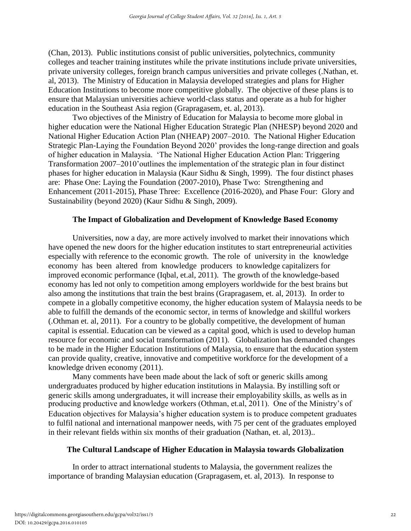(Chan, 2013). Public institutions consist of public universities, polytechnics, community colleges and teacher training institutes while the private institutions include private universities, private university colleges, foreign branch campus universities and private colleges (.Nathan, et. al, 2013). The Ministry of Education in Malaysia developed strategies and plans for Higher Education Institutions to become more competitive globally. The objective of these plans is to ensure that Malaysian universities achieve world-class status and operate as a hub for higher education in the Southeast Asia region (Grapragasem, et. al, 2013).

Two objectives of the Ministry of Education for Malaysia to become more global in higher education were the National Higher Education Strategic Plan (NHESP) beyond 2020 and National Higher Education Action Plan (NHEAP) 2007–2010. The National Higher Education Strategic Plan-Laying the Foundation Beyond 2020' provides the long-range direction and goals of higher education in Malaysia. 'The National Higher Education Action Plan: Triggering Transformation 2007–2010'outlines the implementation of the strategic plan in four distinct phases for higher education in Malaysia (Kaur Sidhu & Singh, 1999). The four distinct phases are: Phase One: Laying the Foundation (2007-2010), Phase Two: Strengthening and Enhancement (2011-2015), Phase Three: Excellence (2016-2020), and Phase Four: Glory and Sustainability (beyond 2020) (Kaur Sidhu & Singh, 2009).

# **The Impact of Globalization and Development of Knowledge Based Economy**

Universities, now a day, are more actively involved to market their innovations which have opened the new doors for the higher education institutes to start entrepreneurial activities especially with reference to the economic growth. The role of university in the knowledge economy has been altered from knowledge producers to knowledge capitalizers for improved economic performance (Iqbal, et.al, 2011). The growth of the knowledge-based economy has led not only to competition among employers worldwide for the best brains but also among the institutions that train the best brains (Grapragasem, et. al, 2013). In order to compete in a globally competitive economy, the higher education system of Malaysia needs to be able to fulfill the demands of the economic sector, in terms of knowledge and skillful workers (.Othman et. al, 2011). For a country to be globally competitive, the development of human capital is essential. Education can be viewed as a capital good, which is used to develop human resource for economic and social transformation (2011). Globalization has demanded changes to be made in the Higher Education Institutions of Malaysia, to ensure that the education system can provide quality, creative, innovative and competitive workforce for the development of a knowledge driven economy (2011).

Many comments have been made about the lack of soft or generic skills among undergraduates produced by higher education institutions in Malaysia. By instilling soft or generic skills among undergraduates, it will increase their employability skills, as wells as in producing productive and knowledge workers (Othman, et.al, 2011). One of the Ministry's of Education objectives for Malaysia's higher education system is to produce competent graduates to fulfil national and international manpower needs, with 75 per cent of the graduates employed in their relevant fields within six months of their graduation (Nathan, et. al, 2013)..

# **The Cultural Landscape of Higher Education in Malaysia towards Globalization**

In order to attract international students to Malaysia, the government realizes the importance of branding Malaysian education (Grapragasem, et. al, 2013). In response to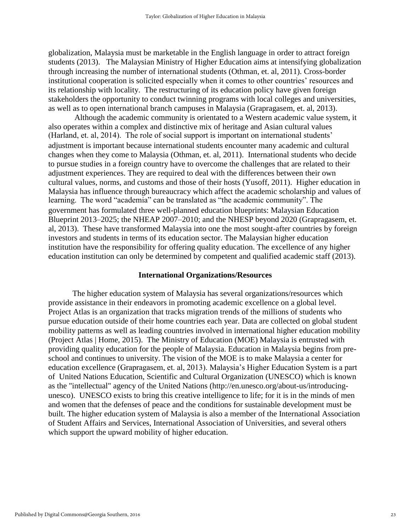globalization, Malaysia must be marketable in the English language in order to attract foreign students (2013). The Malaysian Ministry of Higher Education aims at intensifying globalization through increasing the number of international students (Othman, et. al, 2011). Cross-border institutional cooperation is solicited especially when it comes to other countries' resources and its relationship with locality. The restructuring of its education policy have given foreign stakeholders the opportunity to conduct twinning programs with local colleges and universities, as well as to open international branch campuses in Malaysia (Grapragasem, et. al, 2013).

 Although the academic community is orientated to a Western academic value system, it also operates within a complex and distinctive mix of heritage and Asian cultural values (Harland, et. al, 2014). The role of social support is important on international students' adjustment is important because international students encounter many academic and cultural changes when they come to Malaysia (Othman, et. al, 2011). International students who decide to pursue studies in a foreign country have to overcome the challenges that are related to their adjustment experiences. They are required to deal with the differences between their own cultural values, norms, and customs and those of their hosts (Yusoff, 2011). Higher education in Malaysia has influence through bureaucracy which affect the academic scholarship and values of learning. The word "academia" can be translated as "the academic community". The government has formulated three well-planned education blueprints: Malaysian Education Blueprint 2013–2025; the NHEAP 2007–2010; and the NHESP beyond 2020 (Grapragasem, et. al, 2013). These have transformed Malaysia into one the most sought-after countries by foreign investors and students in terms of its education sector. The Malaysian higher education institution have the responsibility for offering quality education. The excellence of any higher education institution can only be determined by competent and qualified academic staff (2013).

#### **International Organizations/Resources**

The higher education system of Malaysia has several organizations/resources which provide assistance in their endeavors in promoting academic excellence on a global level. Project Atlas is an organization that tracks migration trends of the millions of students who pursue education outside of their home countries each year. Data are collected on global student mobility patterns as well as leading countries involved in international higher education mobility (Project Atlas | Home, 2015). The Ministry of Education (MOE) Malaysia is entrusted with providing quality education for the people of Malaysia. Education in Malaysia begins from preschool and continues to university. The vision of the MOE is to make Malaysia a center for education excellence (Grapragasem, et. al, 2013). Malaysia's Higher Education System is a part of United Nations Education, Scientific and Cultural Organization (UNESCO) which is known as the "intellectual" agency of the United Nations (http://en.unesco.org/about-us/introducingunesco). UNESCO exists to bring this creative intelligence to life; for it is in the minds of men and women that the defenses of peace and the conditions for sustainable development must be built. The higher education system of Malaysia is also a member of the International Association of Student Affairs and Services, International Association of Universities, and several others which support the upward mobility of higher education.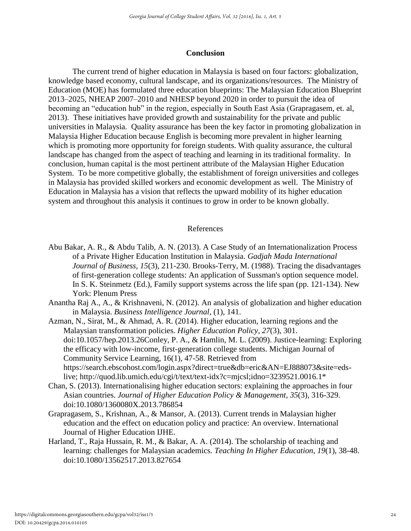#### **Conclusion**

The current trend of higher education in Malaysia is based on four factors: globalization, knowledge based economy, cultural landscape, and its organizations/resources. The Ministry of Education (MOE) has formulated three education blueprints: The Malaysian Education Blueprint 2013–2025, NHEAP 2007–2010 and NHESP beyond 2020 in order to pursuit the idea of becoming an "education hub" in the region, especially in South East Asia (Grapragasem, et. al, 2013). These initiatives have provided growth and sustainability for the private and public universities in Malaysia. Quality assurance has been the key factor in promoting globalization in Malaysia Higher Education because English is becoming more prevalent in higher learning which is promoting more opportunity for foreign students. With quality assurance, the cultural landscape has changed from the aspect of teaching and learning in its traditional formality. In conclusion, human capital is the most pertinent attribute of the Malaysian Higher Education System. To be more competitive globally, the establishment of foreign universities and colleges in Malaysia has provided skilled workers and economic development as well. The Ministry of Education in Malaysia has a vision that reflects the upward mobility of its higher education system and throughout this analysis it continues to grow in order to be known globally.

#### References

- of a Private Higher Education Institution in Malaysia. *Gadjah Mada International Journal of Business*, *15*(3), 211-230. Brooks-Terry, M. (1988). Tracing the disadvantages of first-generation college students: An application of Sussman's option sequence model. In S. K. Steinmetz (Ed.), Family support systems across the life span (pp. 121-134). New York: Plenum Press Abu Bakar, A. R., & Abdu Talib, A. N. (2013). A Case Study of an Internationalization Process
- Anantha Raj A., A., & Krishnaveni, N. (2012). An analysis of globalization and higher education in Malaysia. *Business Intelligence Journal*, (1), 141.
- Azman, N., Sirat, M., & Ahmad, A. R. (2014). Higher education, learning regions and the Malaysian transformation policies. *Higher Education Policy*, *27*(3), 301. doi:10.1057/hep.2013.26Conley, P. A., & Hamlin, M. L. (2009). Justice-learning: Exploring the efficacy with low-income, first-generation college students. Michigan Journal of Community Service Learning, 16(1), 47-58. Retrieved from https://search.ebscohost.com/login.aspx?direct=true&db=eric&AN=EJ888073&site=edslive; http://quod.lib.umich.edu/cgi/t/text/text-idx?c=mjcsl;idno=3239521.0016.1\*
- Chan, S. (2013). Internationalising higher education sectors: explaining the approaches in four Asian countries. *Journal of Higher Education Policy & Management*, *35*(3), 316-329. doi:10.1080/1360080X.2013.786854
- Grapragasem, S., Krishnan, A., & Mansor, A. (2013). Current trends in Malaysian higher education and the effect on education policy and practice: An overview. International Journal of Higher Education IJHE.
- Harland, T., Raja Hussain, R. M., & Bakar, A. A. (2014). The scholarship of teaching and learning: challenges for Malaysian academics. *Teaching In Higher Education*, *19*(1), 38-48. doi:10.1080/13562517.2013.827654